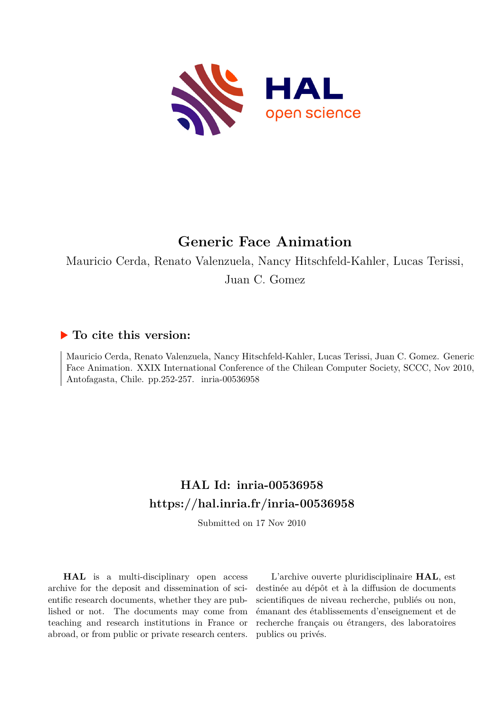

# **Generic Face Animation**

Mauricio Cerda, Renato Valenzuela, Nancy Hitschfeld-Kahler, Lucas Terissi, Juan C. Gomez

# **To cite this version:**

Mauricio Cerda, Renato Valenzuela, Nancy Hitschfeld-Kahler, Lucas Terissi, Juan C. Gomez. Generic Face Animation. XXIX International Conference of the Chilean Computer Society, SCCC, Nov 2010, Antofagasta, Chile. pp.252-257. inria-00536958

# **HAL Id: inria-00536958 <https://hal.inria.fr/inria-00536958>**

Submitted on 17 Nov 2010

**HAL** is a multi-disciplinary open access archive for the deposit and dissemination of scientific research documents, whether they are published or not. The documents may come from teaching and research institutions in France or abroad, or from public or private research centers.

L'archive ouverte pluridisciplinaire **HAL**, est destinée au dépôt et à la diffusion de documents scientifiques de niveau recherche, publiés ou non, émanant des établissements d'enseignement et de recherche français ou étrangers, des laboratoires publics ou privés.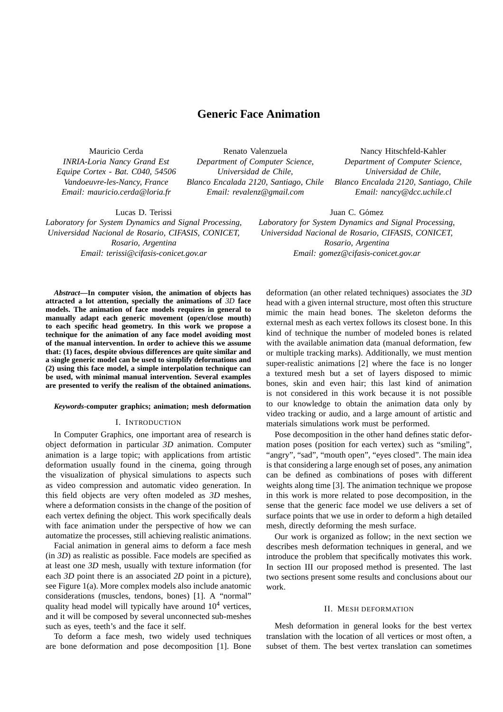# **Generic Face Animation**

Mauricio Cerda *INRIA-Loria Nancy Grand Est Equipe Cortex - Bat. C040, 54506 Vandoeuvre-les-Nancy, France Email: mauricio.cerda@loria.fr*

Renato Valenzuela *Department of Computer Science, Universidad de Chile, Blanco Encalada 2120, Santiago, Chile Email: revalenz@gmail.com*

Nancy Hitschfeld-Kahler *Department of Computer Science, Universidad de Chile, Blanco Encalada 2120, Santiago, Chile Email: nancy@dcc.uchile.cl*

Juan C. Gómez *Laboratory for System Dynamics and Signal Processing, Universidad Nacional de Rosario, CIFASIS, CONICET, Rosario, Argentina Email: gomez@cifasis-conicet.gov.ar*

Lucas D. Terissi

*Laboratory for System Dynamics and Signal Processing, Universidad Nacional de Rosario, CIFASIS, CONICET, Rosario, Argentina Email: terissi@cifasis-conicet.gov.ar*

*Abstract***—In computer vision, the animation of objects has attracted a lot attention, specially the animations of** *3D* **face models. The animation of face models requires in general to manually adapt each generic movement (open/close mouth) to each specific head geometry. In this work we propose a technique for the animation of any face model avoiding most of the manual intervention. In order to achieve this we assume that: (1) faces, despite obvious differences are quite similar and a single generic model can be used to simplify deformations and (2) using this face model, a simple interpolation technique can be used, with minimal manual intervention. Several examples are presented to verify the realism of the obtained animations.**

# *Keywords***-computer graphics; animation; mesh deformation**

# I. INTRODUCTION

In Computer Graphics, one important area of research is object deformation in particular *3D* animation. Computer animation is a large topic; with applications from artistic deformation usually found in the cinema, going through the visualization of physical simulations to aspects such as video compression and automatic video generation. In this field objects are very often modeled as *3D* meshes, where a deformation consists in the change of the position of each vertex defining the object. This work specifically deals with face animation under the perspective of how we can automatize the processes, still achieving realistic animations.

Facial animation in general aims to deform a face mesh (in *3D*) as realistic as possible. Face models are specified as at least one *3D* mesh, usually with texture information (for each *3D* point there is an associated *2D* point in a picture), see Figure 1(a). More complex models also include anatomic considerations (muscles, tendons, bones) [1]. A "normal" quality head model will typically have around  $10<sup>4</sup>$  vertices, and it will be composed by several unconnected sub-meshes such as eyes, teeth's and the face it self.

To deform a face mesh, two widely used techniques are bone deformation and pose decomposition [1]. Bone

deformation (an other related techniques) associates the *3D* head with a given internal structure, most often this structure mimic the main head bones. The skeleton deforms the external mesh as each vertex follows its closest bone. In this kind of technique the number of modeled bones is related with the available animation data (manual deformation, few or multiple tracking marks). Additionally, we must mention super-realistic animations [2] where the face is no longer a textured mesh but a set of layers disposed to mimic bones, skin and even hair; this last kind of animation is not considered in this work because it is not possible to our knowledge to obtain the animation data only by video tracking or audio, and a large amount of artistic and materials simulations work must be performed.

Pose decomposition in the other hand defines static deformation poses (position for each vertex) such as "smiling", "angry", "sad", "mouth open", "eyes closed". The main idea is that considering a large enough set of poses, any animation can be defined as combinations of poses with different weights along time [3]. The animation technique we propose in this work is more related to pose decomposition, in the sense that the generic face model we use delivers a set of surface points that we use in order to deform a high detailed mesh, directly deforming the mesh surface.

Our work is organized as follow; in the next section we describes mesh deformation techniques in general, and we introduce the problem that specifically motivates this work. In section III our proposed method is presented. The last two sections present some results and conclusions about our work.

# II. MESH DEFORMATION

Mesh deformation in general looks for the best vertex translation with the location of all vertices or most often, a subset of them. The best vertex translation can sometimes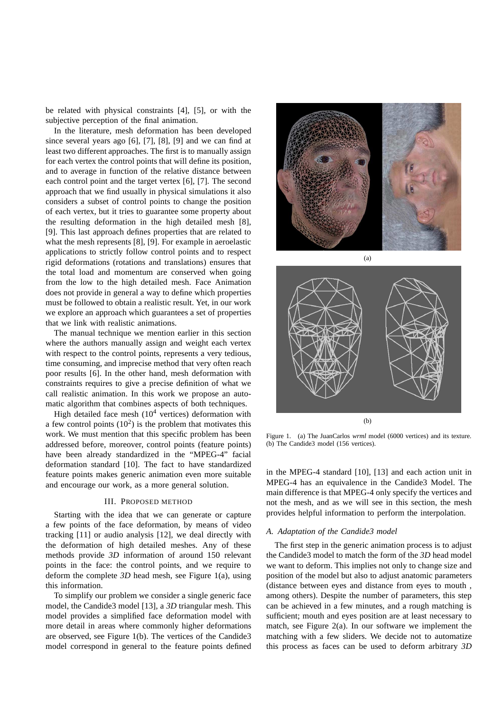be related with physical constraints [4], [5], or with the subjective perception of the final animation.

In the literature, mesh deformation has been developed since several years ago [6], [7], [8], [9] and we can find at least two different approaches. The first is to manually assign for each vertex the control points that will define its position, and to average in function of the relative distance between each control point and the target vertex [6], [7]. The second approach that we find usually in physical simulations it also considers a subset of control points to change the position of each vertex, but it tries to guarantee some property about the resulting deformation in the high detailed mesh [8], [9]. This last approach defines properties that are related to what the mesh represents [8], [9]. For example in aeroelastic applications to strictly follow control points and to respect rigid deformations (rotations and translations) ensures that the total load and momentum are conserved when going from the low to the high detailed mesh. Face Animation does not provide in general a way to define which properties must be followed to obtain a realistic result. Yet, in our work we explore an approach which guarantees a set of properties that we link with realistic animations.

The manual technique we mention earlier in this section where the authors manually assign and weight each vertex with respect to the control points, represents a very tedious, time consuming, and imprecise method that very often reach poor results [6]. In the other hand, mesh deformation with constraints requires to give a precise definition of what we call realistic animation. In this work we propose an automatic algorithm that combines aspects of both techniques.

High detailed face mesh  $(10^4$  vertices) deformation with a few control points  $(10^2)$  is the problem that motivates this work. We must mention that this specific problem has been addressed before, moreover, control points (feature points) have been already standardized in the "MPEG-4" facial deformation standard [10]. The fact to have standardized feature points makes generic animation even more suitable and encourage our work, as a more general solution.

# III. PROPOSED METHOD

Starting with the idea that we can generate or capture a few points of the face deformation, by means of video tracking [11] or audio analysis [12], we deal directly with the deformation of high detailed meshes. Any of these methods provide *3D* information of around 150 relevant points in the face: the control points, and we require to deform the complete *3D* head mesh, see Figure 1(a), using this information.

To simplify our problem we consider a single generic face model, the Candide3 model [13], a *3D* triangular mesh. This model provides a simplified face deformation model with more detail in areas where commonly higher deformations are observed, see Figure 1(b). The vertices of the Candide3 model correspond in general to the feature points defined





Figure 1. (a) The JuanCarlos *wrml* model (6000 vertices) and its texture. (b) The Candide3 model (156 vertices).

in the MPEG-4 standard [10], [13] and each action unit in MPEG-4 has an equivalence in the Candide3 Model. The main difference is that MPEG-4 only specify the vertices and not the mesh, and as we will see in this section, the mesh provides helpful information to perform the interpolation.

# *A. Adaptation of the Candide3 model*

The first step in the generic animation process is to adjust the Candide3 model to match the form of the *3D* head model we want to deform. This implies not only to change size and position of the model but also to adjust anatomic parameters (distance between eyes and distance from eyes to mouth , among others). Despite the number of parameters, this step can be achieved in a few minutes, and a rough matching is sufficient; mouth and eyes position are at least necessary to match, see Figure 2(a). In our software we implement the matching with a few sliders. We decide not to automatize this process as faces can be used to deform arbitrary *3D*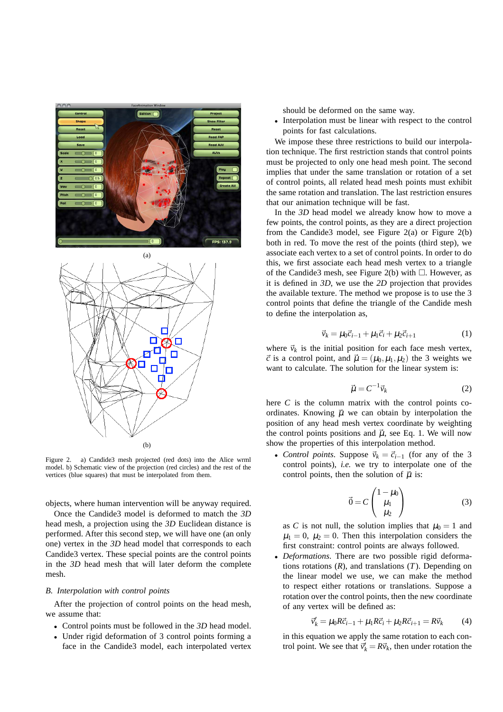



Figure 2. a) Candide3 mesh projected (red dots) into the Alice wrml model. b) Schematic view of the projection (red circles) and the rest of the vertices (blue squares) that must be interpolated from them.

objects, where human intervention will be anyway required.

Once the Candide3 model is deformed to match the *3D* head mesh, a projection using the *3D* Euclidean distance is performed. After this second step, we will have one (an only one) vertex in the *3D* head model that corresponds to each Candide3 vertex. These special points are the control points in the *3D* head mesh that will later deform the complete mesh.

# *B. Interpolation with control points*

After the projection of control points on the head mesh, we assume that:

- Control points must be followed in the *3D* head model.
- Under rigid deformation of 3 control points forming a face in the Candide3 model, each interpolated vertex

should be deformed on the same way.

• Interpolation must be linear with respect to the control points for fast calculations.

We impose these three restrictions to build our interpolation technique. The first restriction stands that control points must be projected to only one head mesh point. The second implies that under the same translation or rotation of a set of control points, all related head mesh points must exhibit the same rotation and translation. The last restriction ensures that our animation technique will be fast.

In the *3D* head model we already know how to move a few points, the control points, as they are a direct projection from the Candide3 model, see Figure 2(a) or Figure 2(b) both in red. To move the rest of the points (third step), we associate each vertex to a set of control points. In order to do this, we first associate each head mesh vertex to a triangle of the Candide3 mesh, see Figure 2(b) with  $\Box$ . However, as it is defined in *3D*, we use the *2D* projection that provides the available texture. The method we propose is to use the 3 control points that define the triangle of the Candide mesh to define the interpolation as,

$$
\vec{v}_k = \mu_0 \vec{c}_{i-1} + \mu_1 \vec{c}_i + \mu_2 \vec{c}_{i+1} \tag{1}
$$

where  $\vec{v}_k$  is the initial position for each face mesh vertex,  $\vec{c}$  is a control point, and  $\vec{\mu} = (\mu_0, \mu_1, \mu_2)$  the 3 weights we want to calculate. The solution for the linear system is:

$$
\vec{\mu} = C^{-1} \vec{v}_k \tag{2}
$$

here *C* is the column matrix with the control points coordinates. Knowing  $\vec{\mu}$  we can obtain by interpolation the position of any head mesh vertex coordinate by weighting the control points positions and  $\vec{\mu}$ , see Eq. 1. We will now show the properties of this interpolation method.

• *Control points*. Suppose  $\vec{v}_k = \vec{c}_{i-1}$  (for any of the 3 control points), *i.e.* we try to interpolate one of the control points, then the solution of  $\vec{\mu}$  is:

$$
\vec{0} = C \begin{pmatrix} 1 - \mu_0 \\ \mu_1 \\ \mu_2 \end{pmatrix} \tag{3}
$$

as *C* is not null, the solution implies that  $\mu_0 = 1$  and  $\mu_1 = 0$ ,  $\mu_2 = 0$ . Then this interpolation considers the first constraint: control points are always followed.

• *Deformations*. There are two possible rigid deformations rotations (*R*), and translations (*T*). Depending on the linear model we use, we can make the method to respect either rotations or translations. Suppose a rotation over the control points, then the new coordinate of any vertex will be defined as:

$$
\vec{v}'_k = \mu_0 R \vec{c}_{i-1} + \mu_1 R \vec{c}_i + \mu_2 R \vec{c}_{i+1} = R \vec{v}_k \tag{4}
$$

in this equation we apply the same rotation to each control point. We see that  $\vec{v}'_k = R\vec{v}_k$ , then under rotation the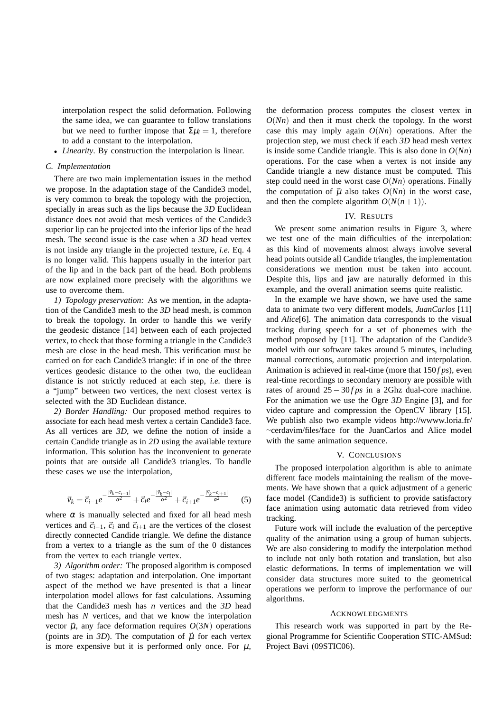interpolation respect the solid deformation. Following the same idea, we can guarantee to follow translations but we need to further impose that  $\Sigma \mu_i = 1$ , therefore to add a constant to the interpolation.

• *Linearity*. By construction the interpolation is linear.

# *C. Implementation*

There are two main implementation issues in the method we propose. In the adaptation stage of the Candide3 model, is very common to break the topology with the projection, specially in areas such as the lips because the *3D* Euclidean distance does not avoid that mesh vertices of the Candide3 superior lip can be projected into the inferior lips of the head mesh. The second issue is the case when a *3D* head vertex is not inside any triangle in the projected texture, *i.e.* Eq. 4 is no longer valid. This happens usually in the interior part of the lip and in the back part of the head. Both problems are now explained more precisely with the algorithms we use to overcome them.

*1) Topology preservation:* As we mention, in the adaptation of the Candide3 mesh to the *3D* head mesh, is common to break the topology. In order to handle this we verify the geodesic distance [14] between each of each projected vertex, to check that those forming a triangle in the Candide3 mesh are close in the head mesh. This verification must be carried on for each Candide3 triangle: if in one of the three vertices geodesic distance to the other two, the euclidean distance is not strictly reduced at each step, *i.e.* there is a "jump" between two vertices, the next closest vertex is selected with the 3D Euclidean distance.

*2) Border Handling:* Our proposed method requires to associate for each head mesh vertex a certain Candide3 face. As all vertices are *3D*, we define the notion of inside a certain Candide triangle as in *2D* using the available texture information. This solution has the inconvenient to generate points that are outside all Candide3 triangles. To handle these cases we use the interpolation,

$$
\vec{v}_k = \vec{c}_{i-1} e^{-\frac{|\vec{v}_k - c_{i-1}|}{\alpha^2}} + \vec{c}_i e^{-\frac{|\vec{v}_k - c_i|}{\alpha^2}} + \vec{c}_{i+1} e^{-\frac{|\vec{v}_k - c_{i+1}|}{\alpha^2}} \tag{5}
$$

where  $\alpha$  is manually selected and fixed for all head mesh vertices and  $\vec{c}_{i-1}$ ,  $\vec{c}_i$  and  $\vec{c}_{i+1}$  are the vertices of the closest directly connected Candide triangle. We define the distance from a vertex to a triangle as the sum of the 0 distances from the vertex to each triangle vertex.

*3) Algorithm order:* The proposed algorithm is composed of two stages: adaptation and interpolation. One important aspect of the method we have presented is that a linear interpolation model allows for fast calculations. Assuming that the Candide3 mesh has *n* vertices and the *3D* head mesh has *N* vertices, and that we know the interpolation vector  $\vec{\mu}$ , any face deformation requires  $O(3N)$  operations (points are in *3D*). The computation of  $\vec{\mu}$  for each vertex is more expensive but it is performed only once. For  $\mu$ ,

the deformation process computes the closest vertex in  $O(Nn)$  and then it must check the topology. In the worst case this may imply again *O*(*Nn*) operations. After the projection step, we must check if each *3D* head mesh vertex is inside some Candide triangle. This is also done in *O*(*Nn*) operations. For the case when a vertex is not inside any Candide triangle a new distance must be computed. This step could need in the worst case  $O(Nn)$  operations. Finally the computation of  $\vec{\mu}$  also takes  $O(Nn)$  in the worst case, and then the complete algorithm  $O(N(n+1))$ .

## IV. RESULTS

We present some animation results in Figure 3, where we test one of the main difficulties of the interpolation: as this kind of movements almost always involve several head points outside all Candide triangles, the implementation considerations we mention must be taken into account. Despite this, lips and jaw are naturally deformed in this example, and the overall animation seems quite realistic.

In the example we have shown, we have used the same data to animate two very different models, *JuanCarlos* [11] and *Alice*[6]. The animation data corresponds to the visual tracking during speech for a set of phonemes with the method proposed by [11]. The adaptation of the Candide3 model with our software takes around 5 minutes, including manual corrections, automatic projection and interpolation. Animation is achieved in real-time (more that 150 *f ps*), even real-time recordings to secondary memory are possible with rates of around  $25 - 30$ *f ps* in a 2Ghz dual-core machine. For the animation we use the Ogre *3D* Engine [3], and for video capture and compression the OpenCV library [15]. We publish also two example videos http://wwww.loria.fr/ ∼cerdavim/files/face for the JuanCarlos and Alice model with the same animation sequence.

### V. CONCLUSIONS

The proposed interpolation algorithm is able to animate different face models maintaining the realism of the movements. We have shown that a quick adjustment of a generic face model (Candide3) is sufficient to provide satisfactory face animation using automatic data retrieved from video tracking.

Future work will include the evaluation of the perceptive quality of the animation using a group of human subjects. We are also considering to modify the interpolation method to include not only both rotation and translation, but also elastic deformations. In terms of implementation we will consider data structures more suited to the geometrical operations we perform to improve the performance of our algorithms.

### ACKNOWLEDGMENTS

This research work was supported in part by the Regional Programme for Scientific Cooperation STIC-AMSud: Project Bavi (09STIC06).